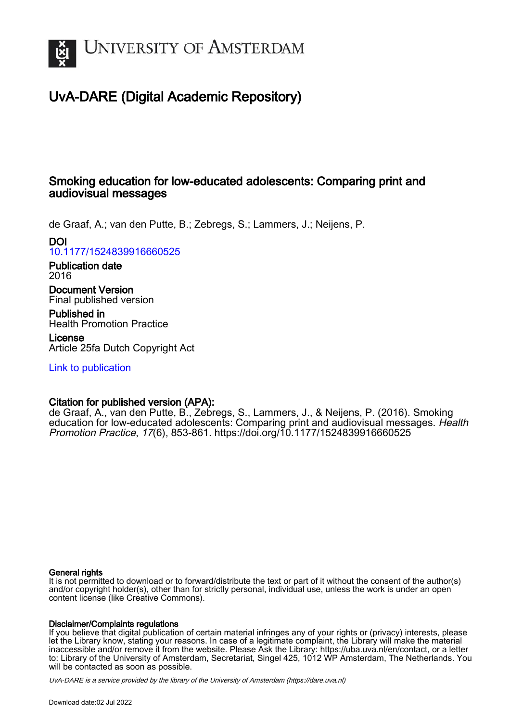

# UvA-DARE (Digital Academic Repository)

# Smoking education for low-educated adolescents: Comparing print and audiovisual messages

de Graaf, A.; van den Putte, B.; Zebregs, S.; Lammers, J.; Neijens, P.

DOI

[10.1177/1524839916660525](https://doi.org/10.1177/1524839916660525)

Publication date 2016

Document Version Final published version

Published in Health Promotion Practice

License Article 25fa Dutch Copyright Act

[Link to publication](https://dare.uva.nl/personal/pure/en/publications/smoking-education-for-loweducated-adolescents-comparing-print-and-audiovisual-messages(ad9aceb2-fcf9-4b7d-b118-f67f48746624).html)

# Citation for published version (APA):

de Graaf, A., van den Putte, B., Zebregs, S., Lammers, J., & Neijens, P. (2016). Smoking education for low-educated adolescents: Comparing print and audiovisual messages. Health Promotion Practice, 17(6), 853-861.<https://doi.org/10.1177/1524839916660525>

## General rights

It is not permitted to download or to forward/distribute the text or part of it without the consent of the author(s) and/or copyright holder(s), other than for strictly personal, individual use, unless the work is under an open content license (like Creative Commons).

## Disclaimer/Complaints regulations

If you believe that digital publication of certain material infringes any of your rights or (privacy) interests, please let the Library know, stating your reasons. In case of a legitimate complaint, the Library will make the material inaccessible and/or remove it from the website. Please Ask the Library: https://uba.uva.nl/en/contact, or a letter to: Library of the University of Amsterdam, Secretariat, Singel 425, 1012 WP Amsterdam, The Netherlands. You will be contacted as soon as possible.

UvA-DARE is a service provided by the library of the University of Amsterdam (http*s*://dare.uva.nl)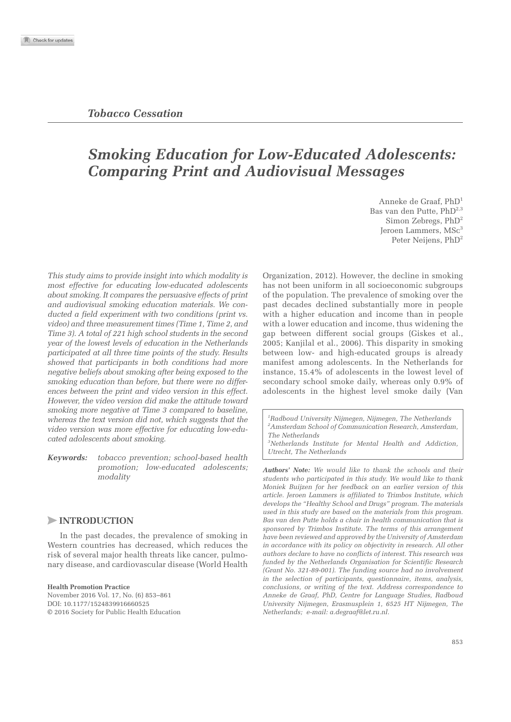# *Smoking Education for Low-Educated Adolescents: Comparing Print and Audiovisual Messages*

Anneke de Graaf, PhD1 Bas van den Putte, PhD<sup>2,3</sup> Simon Zebregs, PhD2 Jeroen Lammers, MSc<sup>3</sup> Peter Neijens, PhD<sup>2</sup>

*This study aims to provide insight into which modality is most effective for educating low-educated adolescents about smoking. It compares the persuasive effects of print and audiovisual smoking education materials. We conducted a field experiment with two conditions (print vs. video) and three measurement times (Time 1, Time 2, and Time 3). A total of 221 high school students in the second year of the lowest levels of education in the Netherlands participated at all three time points of the study. Results showed that participants in both conditions had more negative beliefs about smoking after being exposed to the smoking education than before, but there were no differences between the print and video version in this effect. However, the video version did make the attitude toward smoking more negative at Time 3 compared to baseline, whereas the text version did not, which suggests that the video version was more effective for educating low-educated adolescents about smoking.*

*Keywords: tobacco prevention; school-based health promotion; low-educated adolescents; modality*

# >**INTRODUCTION**

In the past decades, the prevalence of smoking in Western countries has decreased, which reduces the risk of several major health threats like cancer, pulmonary disease, and cardiovascular disease (World Health

**Health Promotion Practice**

November 2016 Vol. 17, No. (6) 853 –861 DOI: 10.1177/1524839916660525 © 2016 Society for Public Health Education Organization, 2012). However, the decline in smoking has not been uniform in all socioeconomic subgroups of the population. The prevalence of smoking over the past decades declined substantially more in people with a higher education and income than in people with a lower education and income, thus widening the gap between different social groups (Giskes et al., 2005; Kanjilal et al., 2006). This disparity in smoking between low- and high-educated groups is already manifest among adolescents. In the Netherlands for instance, 15.4% of adolescents in the lowest level of secondary school smoke daily, whereas only 0.9% of adolescents in the highest level smoke daily (Van

*1 Radboud University Nijmegen, Nijmegen, The Netherlands 2 Amsterdam School of Communication Research, Amsterdam, The Netherlands 3 Netherlands Institute for Mental Health and Addiction, Utrecht, The Netherlands*

*Authors' Note: We would like to thank the schools and their students who participated in this study. We would like to thank Moniek Buijzen for her feedback on an earlier version of this article. Jeroen Lammers is affiliated to Trimbos Institute, which develops the "Healthy School and Drugs" program. The materials used in this study are based on the materials from this program. Bas van den Putte holds a chair in health communication that is sponsored by Trimbos Institute. The terms of this arrangement have been reviewed and approved by the University of Amsterdam in accordance with its policy on objectivity in research. All other authors declare to have no conflicts of interest. This research was funded by the Netherlands Organisation for Scientific Research (Grant No. 321-89-001). The funding source had no involvement in the selection of participants, questionnaire, items, analysis, conclusions, or writing of the text. Address correspondence to Anneke de Graaf, PhD, Centre for Language Studies, Radboud University Nijmegen, Erasmusplein 1, 6525 HT Nijmegen, The Netherlands; e-mail: a.degraaf@let.ru.nl.*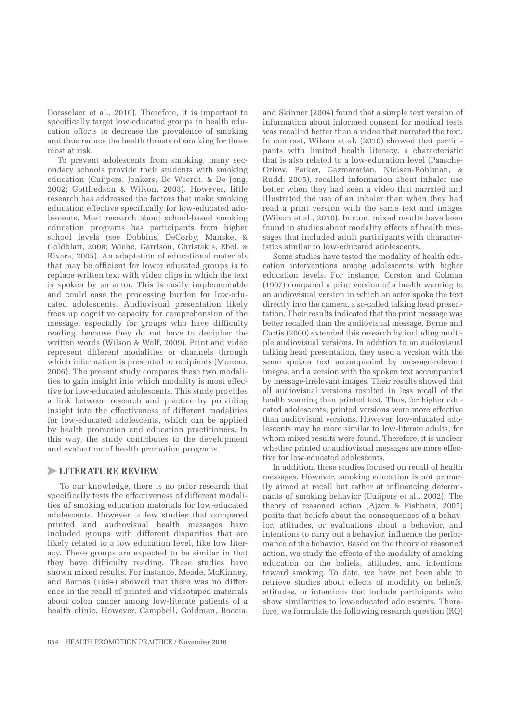Dorsselaer et al., 2010). Therefore, it is important to specifically target low-educated groups in health education efforts to decrease the prevalence of smoking and thus reduce the health threats of smoking for those most at risk.

To prevent adolescents from smoking, many secondary schools provide their students with smoking education (Cuijpers, Jonkers, De Weerdt, & De Jong, 2002; Gottfredson & Wilson, 2003). However, little research has addressed the factors that make smoking education effective specifically for low-educated adolescents. Most research about school-based smoking education programs has participants from higher school levels (see Dobbins, DeCorby, Manske, & Goldblatt, 2008; Wiehe, Garrison, Christakis, Ebel, & Rivara, 2005). An adaptation of educational materials that may be efficient for lower educated groups is to replace written text with video clips in which the text is spoken by an actor. This is easily implementable and could ease the processing burden for low-educated adolescents. Audiovisual presentation likely frees up cognitive capacity for comprehension of the message, especially for groups who have difficulty reading, because they do not have to decipher the written words (Wilson & Wolf, 2009). Print and video represent different modalities or channels through which information is presented to recipients (Moreno, 2006). The present study compares these two modalities to gain insight into which modality is most effective for low-educated adolescents. This study provides a link between research and practice by providing insight into the effectiveness of different modalities for low-educated adolescents, which can be applied by health promotion and education practitioners. In this way, the study contributes to the development and evaluation of health promotion programs.

### >**LITERATURE REVIEW**

To our knowledge, there is no prior research that specifically tests the effectiveness of different modalities of smoking education materials for low-educated adolescents. However, a few studies that compared printed and audiovisual health messages have included groups with different disparities that are likely related to a low education level, like low literacy. These groups are expected to be similar in that they have difficulty reading. These studies have shown mixed results. For instance, Meade, McKinney, and Barnas (1994) showed that there was no difference in the recall of printed and videotaped materials about colon cancer among low-literate patients of a health clinic. However, Campbell, Goldman, Boccia,

and Skinner (2004) found that a simple text version of information about informed consent for medical tests was recalled better than a video that narrated the text. In contrast, Wilson et al. (2010) showed that participants with limited health literacy, a characteristic that is also related to a low-education level (Paasche-Orlow, Parker, Gazmararian, Nielsen-Bohlman, & Rudd, 2005), recalled information about inhaler use better when they had seen a video that narrated and illustrated the use of an inhaler than when they had read a print version with the same text and images (Wilson et al., 2010). In sum, mixed results have been found in studies about modality effects of health messages that included adult participants with characteristics similar to low-educated adolescents.

Some studies have tested the modality of health education interventions among adolescents with higher education levels. For instance, Corston and Colman (1997) compared a print version of a health warning to an audiovisual version in which an actor spoke the text directly into the camera, a so-called talking head presentation. Their results indicated that the print message was better recalled than the audiovisual message. Byrne and Curtis (2000) extended this research by including multiple audiovisual versions. In addition to an audiovisual talking head presentation, they used a version with the same spoken text accompanied by message-relevant images, and a version with the spoken text accompanied by message-irrelevant images. Their results showed that all audiovisual versions resulted in less recall of the health warning than printed text. Thus, for higher educated adolescents, printed versions were more effective than audiovisual versions. However, low-educated adolescents may be more similar to low-literate adults, for whom mixed results were found. Therefore, it is unclear whether printed or audiovisual messages are more effective for low-educated adolescents.

In addition, these studies focused on recall of health messages. However, smoking education is not primarily aimed at recall but rather at influencing determinants of smoking behavior (Cuijpers et al., 2002). The theory of reasoned action (Ajzen & Fishbein, 2005) posits that beliefs about the consequences of a behavior, attitudes, or evaluations about a behavior, and intentions to carry out a behavior, influence the performance of the behavior. Based on the theory of reasoned action, we study the effects of the modality of smoking education on the beliefs, attitudes, and intentions toward smoking. To date, we have not been able to retrieve studies about effects of modality on beliefs, attitudes, or intentions that include participants who show similarities to low-educated adolescents. Therefore, we formulate the following research question (RQ)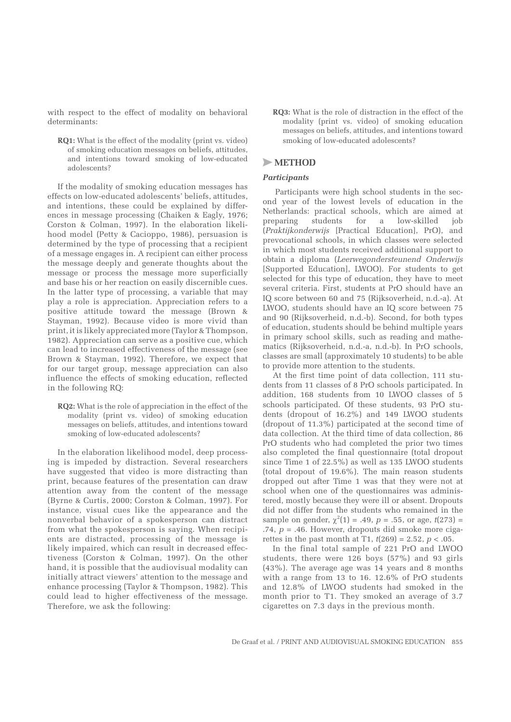with respect to the effect of modality on behavioral determinants:

**RO1:** What is the effect of the modality (print vs. video) of smoking education messages on beliefs, attitudes, and intentions toward smoking of low-educated adolescents?

If the modality of smoking education messages has effects on low-educated adolescents' beliefs, attitudes, and intentions, these could be explained by differences in message processing (Chaiken & Eagly, 1976; Corston & Colman, 1997). In the elaboration likelihood model (Petty & Cacioppo, 1986), persuasion is determined by the type of processing that a recipient of a message engages in. A recipient can either process the message deeply and generate thoughts about the message or process the message more superficially and base his or her reaction on easily discernible cues. In the latter type of processing, a variable that may play a role is appreciation. Appreciation refers to a positive attitude toward the message (Brown & Stayman, 1992). Because video is more vivid than print, it is likely appreciated more (Taylor & Thompson, 1982). Appreciation can serve as a positive cue, which can lead to increased effectiveness of the message (see Brown & Stayman, 1992). Therefore, we expect that for our target group, message appreciation can also influence the effects of smoking education, reflected in the following RQ:

**RQ2:** What is the role of appreciation in the effect of the modality (print vs. video) of smoking education messages on beliefs, attitudes, and intentions toward smoking of low-educated adolescents?

In the elaboration likelihood model, deep processing is impeded by distraction. Several researchers have suggested that video is more distracting than print, because features of the presentation can draw attention away from the content of the message (Byrne & Curtis, 2000; Corston & Colman, 1997). For instance, visual cues like the appearance and the nonverbal behavior of a spokesperson can distract from what the spokesperson is saying. When recipients are distracted, processing of the message is likely impaired, which can result in decreased effectiveness (Corston & Colman, 1997). On the other hand, it is possible that the audiovisual modality can initially attract viewers' attention to the message and enhance processing (Taylor & Thompson, 1982). This could lead to higher effectiveness of the message. Therefore, we ask the following:

**RQ3:** What is the role of distraction in the effect of the modality (print vs. video) of smoking education messages on beliefs, attitudes, and intentions toward smoking of low-educated adolescents?

#### >**METHOD**

### *Participants*

Participants were high school students in the second year of the lowest levels of education in the Netherlands: practical schools, which are aimed at preparing students for a low-skilled job (*Praktijkonderwijs* [Practical Education], PrO), and prevocational schools, in which classes were selected in which most students received additional support to obtain a diploma (*Leerwegondersteunend Onderwijs* [Supported Education], LWOO). For students to get selected for this type of education, they have to meet several criteria. First, students at PrO should have an IQ score between 60 and 75 (Rijksoverheid, n.d.-a). At LWOO, students should have an IQ score between 75 and 90 (Rijksoverheid, n.d.-b). Second, for both types of education, students should be behind multiple years in primary school skills, such as reading and mathematics (Rijksoverheid, n.d.-a, n.d.-b). In PrO schools, classes are small (approximately 10 students) to be able to provide more attention to the students.

At the first time point of data collection, 111 students from 11 classes of 8 PrO schools participated. In addition, 168 students from 10 LWOO classes of 5 schools participated. Of these students, 93 PrO students (dropout of 16.2%) and 149 LWOO students (dropout of 11.3%) participated at the second time of data collection. At the third time of data collection, 86 PrO students who had completed the prior two times also completed the final questionnaire (total dropout since Time 1 of 22.5%) as well as 135 LWOO students (total dropout of 19.6%). The main reason students dropped out after Time 1 was that they were not at school when one of the questionnaires was administered, mostly because they were ill or absent. Dropouts did not differ from the students who remained in the sample on gender,  $\chi^2(1) = .49$ ,  $p = .55$ , or age,  $t(273) =$ .74,  $p = .46$ . However, dropouts did smoke more cigarettes in the past month at T1,  $t(269) = 2.52$ ,  $p < .05$ .

In the final total sample of 221 PrO and LWOO students, there were 126 boys (57%) and 93 girls (43%). The average age was 14 years and 8 months with a range from 13 to 16. 12.6% of PrO students and 12.8% of LWOO students had smoked in the month prior to T1. They smoked an average of 3.7 cigarettes on 7.3 days in the previous month.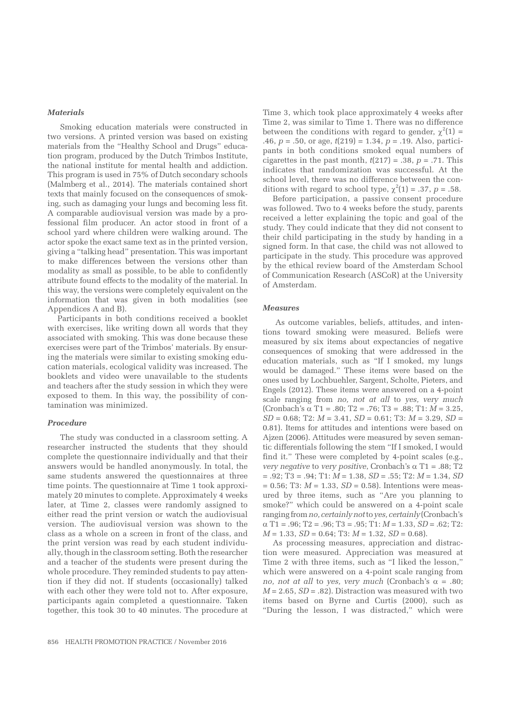#### *Materials*

Smoking education materials were constructed in two versions. A printed version was based on existing materials from the "Healthy School and Drugs" education program, produced by the Dutch Trimbos Institute, the national institute for mental health and addiction. This program is used in 75% of Dutch secondary schools (Malmberg et al., 2014). The materials contained short texts that mainly focused on the consequences of smoking, such as damaging your lungs and becoming less fit. A comparable audiovisual version was made by a professional film producer. An actor stood in front of a school yard where children were walking around. The actor spoke the exact same text as in the printed version, giving a "talking head" presentation. This was important to make differences between the versions other than modality as small as possible, to be able to confidently attribute found effects to the modality of the material. In this way, the versions were completely equivalent on the information that was given in both modalities (see Appendices A and B).

Participants in both conditions received a booklet with exercises, like writing down all words that they associated with smoking. This was done because these exercises were part of the Trimbos' materials. By ensuring the materials were similar to existing smoking education materials, ecological validity was increased. The booklets and video were unavailable to the students and teachers after the study session in which they were exposed to them. In this way, the possibility of contamination was minimized.

#### *Procedure*

The study was conducted in a classroom setting. A researcher instructed the students that they should complete the questionnaire individually and that their answers would be handled anonymously. In total, the same students answered the questionnaires at three time points. The questionnaire at Time 1 took approximately 20 minutes to complete. Approximately 4 weeks later, at Time 2, classes were randomly assigned to either read the print version or watch the audiovisual version. The audiovisual version was shown to the class as a whole on a screen in front of the class, and the print version was read by each student individually, though in the classroom setting. Both the researcher and a teacher of the students were present during the whole procedure. They reminded students to pay attention if they did not. If students (occasionally) talked with each other they were told not to. After exposure, participants again completed a questionnaire. Taken together, this took 30 to 40 minutes. The procedure at Time 3, which took place approximately 4 weeks after Time 2, was similar to Time 1. There was no difference between the conditions with regard to gender,  $\chi^2(1)$  = .46, *p* = .50, or age, *t*(219) = 1.34, *p* = .19. Also, participants in both conditions smoked equal numbers of cigarettes in the past month,  $t(217) = .38$ ,  $p = .71$ . This indicates that randomization was successful. At the school level, there was no difference between the conditions with regard to school type,  $\chi^2(1) = .37$ ,  $p = .58$ .

Before participation, a passive consent procedure was followed. Two to 4 weeks before the study, parents received a letter explaining the topic and goal of the study. They could indicate that they did not consent to their child participating in the study by handing in a signed form. In that case, the child was not allowed to participate in the study. This procedure was approved by the ethical review board of the Amsterdam School of Communication Research (ASCoR) at the University of Amsterdam.

#### *Measures*

As outcome variables, beliefs, attitudes, and intentions toward smoking were measured. Beliefs were measured by six items about expectancies of negative consequences of smoking that were addressed in the education materials, such as "If I smoked, my lungs would be damaged." These items were based on the ones used by Lochbuehler, Sargent, Scholte, Pieters, and Engels (2012). These items were answered on a 4-point scale ranging from *no, not at all* to *yes, very much* (Cronbach's  $\alpha$  T1 = .80; T2 = .76; T3 = .88; T1:  $M = 3.25$ , *SD* = 0.68; T2: *M* = 3.41, *SD* = 0.61; T3: *M* = 3.29, *SD* = 0.81). Items for attitudes and intentions were based on Ajzen (2006). Attitudes were measured by seven semantic differentials following the stem "If I smoked, I would find it." These were completed by 4-point scales (e.g., *very negative* to *very positive*, Cronbach's  $\alpha$  T<sub>1</sub> = .88; T<sub>2</sub> = .92; T3 = .94; T1: *M* = 1.38, *SD* = .55; T2: *M* = 1.34, *SD*  $= 0.56$ ; T3:  $M = 1.33$ ,  $SD = 0.58$ ). Intentions were measured by three items, such as "Are you planning to smoke?" which could be answered on a 4-point scale ranging from *no, certainly not* to *yes, certainly* (Cronbach's  $\alpha$  T<sub>1</sub> = .96; T<sub>2</sub> = .96; T<sub>3</sub> = .95; T<sub>1</sub>: *M* = 1.33, *SD* = .62; T<sub>2</sub>: *M* = 1.33, *SD* = 0.64; T3: *M* = 1.32, *SD* = 0.68).

As processing measures, appreciation and distraction were measured. Appreciation was measured at Time 2 with three items, such as "I liked the lesson," which were answered on a 4-point scale ranging from *no, not at all* to *yes, very much* (Cronbach's  $\alpha = .80$ ;  $M = 2.65$ ,  $SD = .82$ ). Distraction was measured with two items based on Byrne and Curtis (2000), such as "During the lesson, I was distracted," which were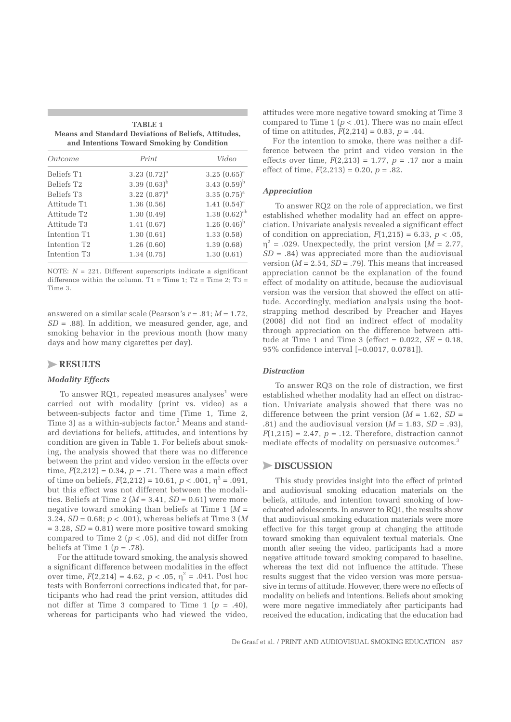| TABLE 1                                              |  |  |
|------------------------------------------------------|--|--|
| Means and Standard Deviations of Beliefs, Attitudes, |  |  |
| and Intentions Toward Smoking by Condition           |  |  |

| Outcome                  | Print             | Video              |
|--------------------------|-------------------|--------------------|
| Beliefs T <sub>1</sub>   | $3.23(0.72)^a$    | $3.25(0.65)^a$     |
| Beliefs T <sub>2</sub>   | 3.39 $(0.63)^{b}$ | $3.43(0.59)^{b}$   |
| Beliefs T <sub>3</sub>   | $3.22~(0.87)^a$   | $3.35(0.75)^a$     |
| Attitude T1              | 1.36(0.56)        | $1.41~(0.54)^a$    |
| Attitude T2              | 1.30(0.49)        | $1.38~(0.62)^{ab}$ |
| Attitude T3              | 1.41(0.67)        | $1.26(0.46)^{b}$   |
| Intention T1             | 1.30(0.61)        | 1.33(0.58)         |
| Intention T <sub>2</sub> | 1.26(0.60)        | 1.39(0.68)         |
| Intention T <sub>3</sub> | 1.34(0.75)        | 1.30(0.61)         |
|                          |                   |                    |

NOTE: *N* = 221. Different superscripts indicate a significant difference within the column.  $T1 = Time 1$ ;  $T2 = Time 2$ ;  $T3 =$ Time 3.

answered on a similar scale (Pearson's  $r = .81$ ;  $M = 1.72$ ,  $SD = .88$ ). In addition, we measured gender, age, and smoking behavior in the previous month (how many days and how many cigarettes per day).

### >**RESULTS**

#### *Modality Effects*

To answer RQ1, repeated measures analyses $^1$  were carried out with modality (print vs. video) as a between-subjects factor and time (Time 1, Time 2, Time 3) as a within-subjects factor.<sup>2</sup> Means and standard deviations for beliefs, attitudes, and intentions by condition are given in Table 1. For beliefs about smoking, the analysis showed that there was no difference between the print and video version in the effects over time,  $F(2,212) = 0.34$ ,  $p = .71$ . There was a main effect of time on beliefs,  $F(2,212) = 10.61, p < .001, \eta^2 = .091,$ but this effect was not different between the modalities. Beliefs at Time 2 ( $M = 3.41$ ,  $SD = 0.61$ ) were more negative toward smoking than beliefs at Time 1 (*M* = 3.24, *SD* = 0.68; *p* < .001), whereas beliefs at Time 3 (*M*  $= 3.28$ ,  $SD = 0.81$ ) were more positive toward smoking compared to Time 2 ( $p < .05$ ), and did not differ from beliefs at Time 1 ( $p = .78$ ).

For the attitude toward smoking, the analysis showed a significant difference between modalities in the effect over time,  $F(2,214) = 4.62$ ,  $p < .05$ ,  $\eta^2 = .041$ . Post hoc tests with Bonferroni corrections indicated that, for participants who had read the print version, attitudes did not differ at Time 3 compared to Time 1  $(p = .40)$ , whereas for participants who had viewed the video,

attitudes were more negative toward smoking at Time 3 compared to Time 1 ( $p < .01$ ). There was no main effect of time on attitudes,  $F(2,214) = 0.83$ ,  $p = .44$ .

For the intention to smoke, there was neither a difference between the print and video version in the effects over time,  $F(2,213) = 1.77$ ,  $p = .17$  nor a main effect of time,  $F(2,213) = 0.20$ ,  $p = .82$ .

#### *Appreciation*

To answer RQ2 on the role of appreciation, we first established whether modality had an effect on appreciation. Univariate analysis revealed a significant effect of condition on appreciation,  $F(1,215) = 6.33$ ,  $p < .05$ ,  $\eta^2$  = .029. Unexpectedly, the print version (*M* = 2.77,  $SD = .84$ ) was appreciated more than the audiovisual version  $(M = 2.54, SD = .79)$ . This means that increased appreciation cannot be the explanation of the found effect of modality on attitude, because the audiovisual version was the version that showed the effect on attitude. Accordingly, mediation analysis using the bootstrapping method described by Preacher and Hayes (2008) did not find an indirect effect of modality through appreciation on the difference between attitude at Time 1 and Time 3 (effect = 0.022, *SE* = 0.18, 95% confidence interval [−0.0017, 0.0781]).

#### *Distraction*

To answer RQ3 on the role of distraction, we first established whether modality had an effect on distraction. Univariate analysis showed that there was no difference between the print version  $(M = 1.62, SD =$ .81) and the audiovisual version  $(M = 1.83, SD = .93)$ ,  $F(1,215) = 2.47$ ,  $p = .12$ . Therefore, distraction cannot mediate effects of modality on persuasive outcomes.<sup>3</sup>

## >**DISCUSSION**

This study provides insight into the effect of printed and audiovisual smoking education materials on the beliefs, attitude, and intention toward smoking of loweducated adolescents. In answer to RQ1, the results show that audiovisual smoking education materials were more effective for this target group at changing the attitude toward smoking than equivalent textual materials. One month after seeing the video, participants had a more negative attitude toward smoking compared to baseline, whereas the text did not influence the attitude. These results suggest that the video version was more persuasive in terms of attitude. However, there were no effects of modality on beliefs and intentions. Beliefs about smoking were more negative immediately after participants had received the education, indicating that the education had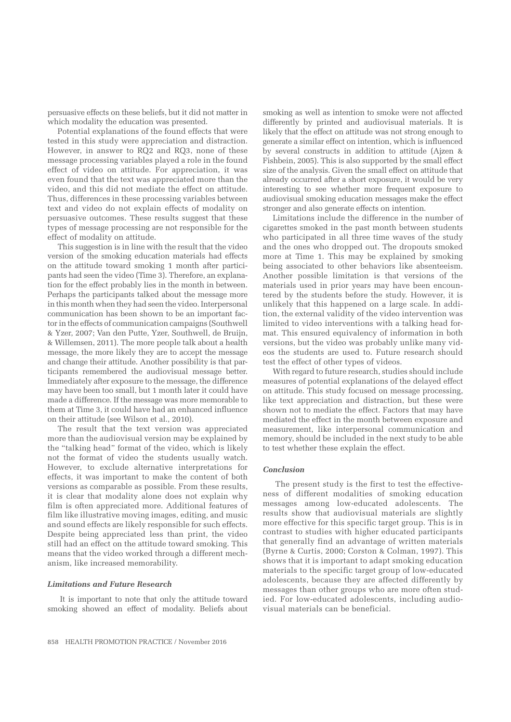persuasive effects on these beliefs, but it did not matter in which modality the education was presented.

Potential explanations of the found effects that were tested in this study were appreciation and distraction. However, in answer to RQ2 and RQ3, none of these message processing variables played a role in the found effect of video on attitude. For appreciation, it was even found that the text was appreciated more than the video, and this did not mediate the effect on attitude. Thus, differences in these processing variables between text and video do not explain effects of modality on persuasive outcomes. These results suggest that these types of message processing are not responsible for the effect of modality on attitude.

This suggestion is in line with the result that the video version of the smoking education materials had effects on the attitude toward smoking 1 month after participants had seen the video (Time 3). Therefore, an explanation for the effect probably lies in the month in between. Perhaps the participants talked about the message more in this month when they had seen the video. Interpersonal communication has been shown to be an important factor in the effects of communication campaigns (Southwell & Yzer, 2007; Van den Putte, Yzer, Southwell, de Bruijn, & Willemsen, 2011). The more people talk about a health message, the more likely they are to accept the message and change their attitude. Another possibility is that participants remembered the audiovisual message better. Immediately after exposure to the message, the difference may have been too small, but 1 month later it could have made a difference. If the message was more memorable to them at Time 3, it could have had an enhanced influence on their attitude (see Wilson et al., 2010).

The result that the text version was appreciated more than the audiovisual version may be explained by the "talking head" format of the video, which is likely not the format of video the students usually watch. However, to exclude alternative interpretations for effects, it was important to make the content of both versions as comparable as possible. From these results, it is clear that modality alone does not explain why film is often appreciated more. Additional features of film like illustrative moving images, editing, and music and sound effects are likely responsible for such effects. Despite being appreciated less than print, the video still had an effect on the attitude toward smoking. This means that the video worked through a different mechanism, like increased memorability.

#### *Limitations and Future Research*

It is important to note that only the attitude toward smoking showed an effect of modality. Beliefs about smoking as well as intention to smoke were not affected differently by printed and audiovisual materials. It is likely that the effect on attitude was not strong enough to generate a similar effect on intention, which is influenced by several constructs in addition to attitude (Ajzen & Fishbein, 2005). This is also supported by the small effect size of the analysis. Given the small effect on attitude that already occurred after a short exposure, it would be very interesting to see whether more frequent exposure to audiovisual smoking education messages make the effect stronger and also generate effects on intention.

Limitations include the difference in the number of cigarettes smoked in the past month between students who participated in all three time waves of the study and the ones who dropped out. The dropouts smoked more at Time 1. This may be explained by smoking being associated to other behaviors like absenteeism. Another possible limitation is that versions of the materials used in prior years may have been encountered by the students before the study. However, it is unlikely that this happened on a large scale. In addition, the external validity of the video intervention was limited to video interventions with a talking head format. This ensured equivalency of information in both versions, but the video was probably unlike many videos the students are used to. Future research should test the effect of other types of videos.

With regard to future research, studies should include measures of potential explanations of the delayed effect on attitude. This study focused on message processing, like text appreciation and distraction, but these were shown not to mediate the effect. Factors that may have mediated the effect in the month between exposure and measurement, like interpersonal communication and memory, should be included in the next study to be able to test whether these explain the effect.

#### *Conclusion*

The present study is the first to test the effectiveness of different modalities of smoking education messages among low-educated adolescents. The results show that audiovisual materials are slightly more effective for this specific target group. This is in contrast to studies with higher educated participants that generally find an advantage of written materials (Byrne & Curtis, 2000; Corston & Colman, 1997). This shows that it is important to adapt smoking education materials to the specific target group of low-educated adolescents, because they are affected differently by messages than other groups who are more often studied. For low-educated adolescents, including audiovisual materials can be beneficial.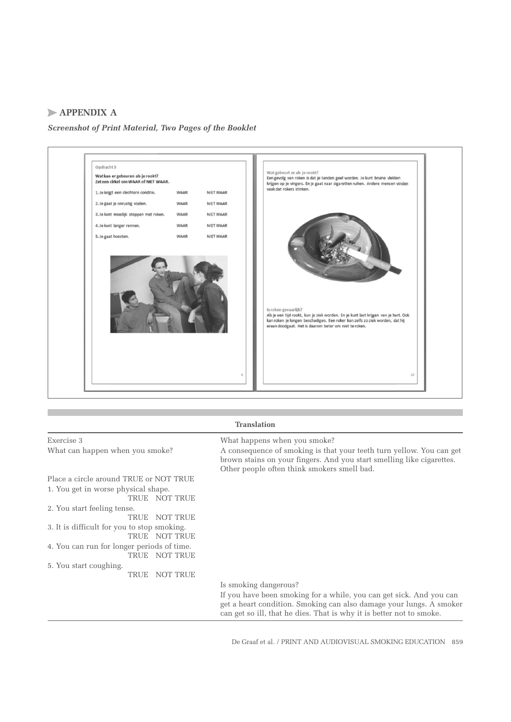# >**APPENDIX A**

# *Screenshot of Print Material, Two Pages of the Booklet*



| п<br>nsıa<br> |
|---------------|
|---------------|

| Exercise 3<br>What can happen when you smoke?                | What happens when you smoke?<br>A consequence of smoking is that your teeth turn yellow. You can get<br>brown stains on your fingers. And you start smelling like cigarettes.<br>Other people often think smokers smell bad. |
|--------------------------------------------------------------|------------------------------------------------------------------------------------------------------------------------------------------------------------------------------------------------------------------------------|
| Place a circle around TRUE or NOT TRUE                       |                                                                                                                                                                                                                              |
| 1. You get in worse physical shape.<br>TRUE NOT TRUE         |                                                                                                                                                                                                                              |
| 2. You start feeling tense.                                  |                                                                                                                                                                                                                              |
| TRUE NOT TRUE                                                |                                                                                                                                                                                                                              |
| 3. It is difficult for you to stop smoking.<br>TRUE NOT TRUE |                                                                                                                                                                                                                              |
| 4. You can run for longer periods of time.<br>TRUE NOT TRUE  |                                                                                                                                                                                                                              |
| 5. You start coughing.                                       |                                                                                                                                                                                                                              |
| TRUE NOT TRUE                                                |                                                                                                                                                                                                                              |
|                                                              | Is smoking dangerous?                                                                                                                                                                                                        |
|                                                              | If you have been smoking for a while, you can get sick. And you can<br>get a heart condition. Smoking can also damage your lungs. A smoker<br>can get so ill, that he dies. That is why it is better not to smoke.           |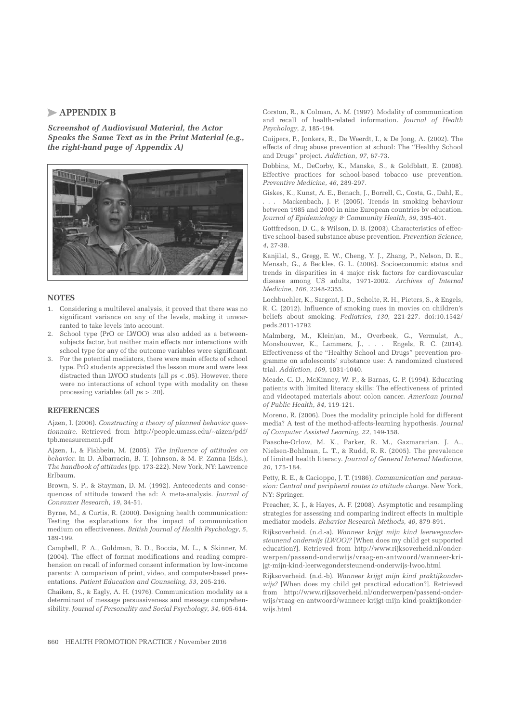#### >**APPENDIX B**

*Screenshot of Audiovisual Material, the Actor Speaks the Same Text as in the Print Material (e.g., the right-hand page of Appendix A)*



#### **NOTES**

- 1. Considering a multilevel analysis, it proved that there was no significant variance on any of the levels, making it unwarranted to take levels into account.
- 2. School type (PrO or LWOO) was also added as a betweensubjects factor, but neither main effects nor interactions with school type for any of the outcome variables were significant.
- 3. For the potential mediators, there were main effects of school type. PrO students appreciated the lesson more and were less distracted than LWOO students (all *p*s < .05). However, there were no interactions of school type with modality on these processing variables (all *p*s > .20).

#### **REFERENCES**

Ajzen, I. (2006). *Constructing a theory of planned behavior questionnaire*. Retrieved from http://people.umass.edu/~aizen/pdf/ tpb.measurement.pdf

Ajzen, I., & Fishbein, M. (2005). *The influence of attitudes on behavior*. In D. Albarracin, B. T. Johnson, & M. P. Zanna (Eds.), *The handbook of attitudes* (pp. 173-222). New York, NY: Lawrence Erlbaum.

Brown, S. P., & Stayman, D. M. (1992). Antecedents and consequences of attitude toward the ad: A meta-analysis. *Journal of Consumer Research*, *19*, 34-51.

Byrne, M., & Curtis, R. (2000). Designing health communication: Testing the explanations for the impact of communication medium on effectiveness. *British Journal of Health Psychology*, *5*, 189-199.

Campbell, F. A., Goldman, B. D., Boccia, M. L., & Skinner, M. (2004). The effect of format modifications and reading comprehension on recall of informed consent information by low-income parents: A comparison of print, video, and computer-based presentations. *Patient Education and Counseling*, *53*, 205-216.

Chaiken, S., & Eagly, A. H. (1976). Communication modality as a determinant of message persuasiveness and message comprehensibility. *Journal of Personality and Social Psychology*, *34*, 605-614. Corston, R., & Colman, A. M. (1997). Modality of communication and recall of health-related information. *Journal of Health Psychology*, *2*, 185-194.

Cuijpers, P., Jonkers, R., De Weerdt, I., & De Jong, A. (2002). The effects of drug abuse prevention at school: The "Healthy School and Drugs" project. *Addiction*, *97*, 67-73.

Dobbins, M., DeCorby, K., Manske, S., & Goldblatt, E. (2008). Effective practices for school-based tobacco use prevention. *Preventive Medicine*, *46*, 289-297.

Giskes, K., Kunst, A. E., Benach, J., Borrell, C., Costa, G., Dahl, E., . . . Mackenbach, J. P. (2005). Trends in smoking behaviour between 1985 and 2000 in nine European countries by education. *Journal of Epidemiology & Community Health*, *59*, 395-401.

Gottfredson, D. C., & Wilson, D. B. (2003). Characteristics of effective school-based substance abuse prevention. *Prevention Science*, *4*, 27-38.

Kanjilal, S., Gregg, E. W., Cheng, Y. J., Zhang, P., Nelson, D. E., Mensah, G., & Beckles, G. L. (2006). Socioeconomic status and trends in disparities in 4 major risk factors for cardiovascular disease among US adults, 1971-2002. *Archives of Internal Medicine*, *166*, 2348-2355.

Lochbuehler, K., Sargent, J. D., Scholte, R. H., Pieters, S., & Engels, R. C. (2012). Influence of smoking cues in movies on children's beliefs about smoking. *Pediatrics*, *130*, 221-227. doi:10.1542/ peds.2011-1792

Malmberg, M., Kleinjan, M., Overbeek, G., Vermulst, A., Monshouwer, K., Lammers, J., . . . Engels, R. C. (2014). Effectiveness of the "Healthy School and Drugs" prevention programme on adolescents' substance use: A randomized clustered trial. *Addiction*, *109*, 1031-1040.

Meade, C. D., McKinney, W. P., & Barnas, G. P. (1994). Educating patients with limited literacy skills: The effectiveness of printed and videotaped materials about colon cancer. *American Journal of Public Health*, *84*, 119-121.

Moreno, R. (2006). Does the modality principle hold for different media? A test of the method-affects-learning hypothesis. *Journal of Computer Assisted Learning*, *22*, 149-158.

Paasche-Orlow, M. K., Parker, R. M., Gazmararian, J. A., Nielsen-Bohlman, L. T., & Rudd, R. R. (2005). The prevalence of limited health literacy. *Journal of General Internal Medicine*, *20*, 175-184.

Petty, R. E., & Cacioppo, J. T. (1986). *Communication and persuasion: Central and peripheral routes to attitude change*. New York, NY: Springer.

Preacher, K. J., & Hayes, A. F. (2008). Asymptotic and resampling strategies for assessing and comparing indirect effects in multiple mediator models. *Behavior Research Methods*, *40*, 879-891.

Rijksoverheid. (n.d.-a). *Wanneer krijgt mijn kind leerwegondersteunend onderwijs (LWOO)?* [When does my child get supported education?]. Retrieved from http://www.rijksoverheid.nl/onderwerpen/passend-onderwijs/vraag-en-antwoord/wanneer-krijgt-mijn-kind-leerwegondersteunend-onderwijs-lwoo.html

Rijksoverheid. (n.d.-b). *Wanneer krijgt mijn kind praktijkonderwijs?* [When does my child get practical education?]. Retrieved from http://www.rijksoverheid.nl/onderwerpen/passend-onderwijs/vraag-en-antwoord/wanneer-krijgt-mijn-kind-praktijkonderwijs.html